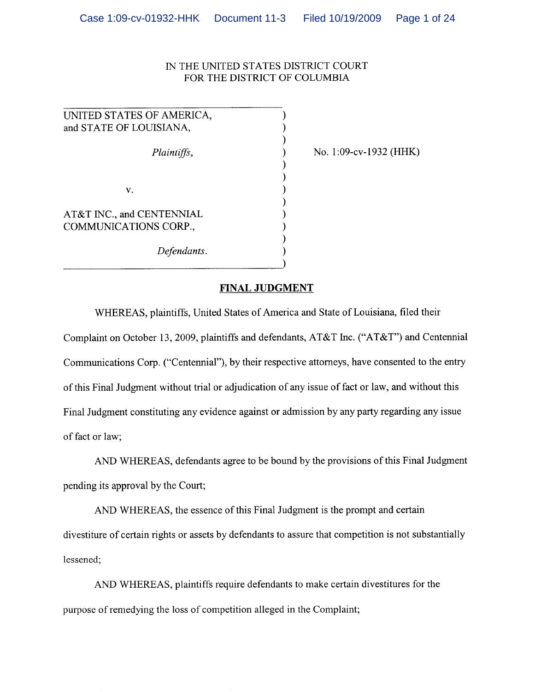# IN THE UNITED STATES DISTRICT COURT FOR THE DISTRICT OF COLUMBIA

| UNITED STATES OF AMERICA,                          |  |
|----------------------------------------------------|--|
| and STATE OF LOUISIANA,                            |  |
|                                                    |  |
| Plaintiffs,                                        |  |
|                                                    |  |
|                                                    |  |
| V.                                                 |  |
|                                                    |  |
| AT&T INC., and CENTENNIAL<br>COMMUNICATIONS CORP., |  |
|                                                    |  |
| Defendants.                                        |  |
|                                                    |  |

No. 1:09-cv-1932 (HHK)

# **FINAL JUDGMENT**

WHEREAS, plaintiffs, United States of America and State of Louisiana, filed their Complaint on October 13, 2009, plaintiffs and defendants, AT&T Inc. ("AT&T") and Centennial Communications Corp. ("Centennial"), by their respective attorneys, have consented to the entry of this Final Judgment without trial or adjudication of any issue of fact or law, and without this Final Judgment constituting any evidence against or admission by any party regarding any issue of fact or law;

AND WHEREAS, defendants agree to be bound by the provisions of this Final Judgment pending its approval by the Court;

AND WHEREAS, the essence of this Final Judgment is the prompt and certain divestiture of certain rights or assets by defendants to assure that competition is not substantially lessened;

AND WHEREAS, plaintiffs require defendants to make certain divestitures for the purpose of remedying the loss of competition alleged in the Complaint;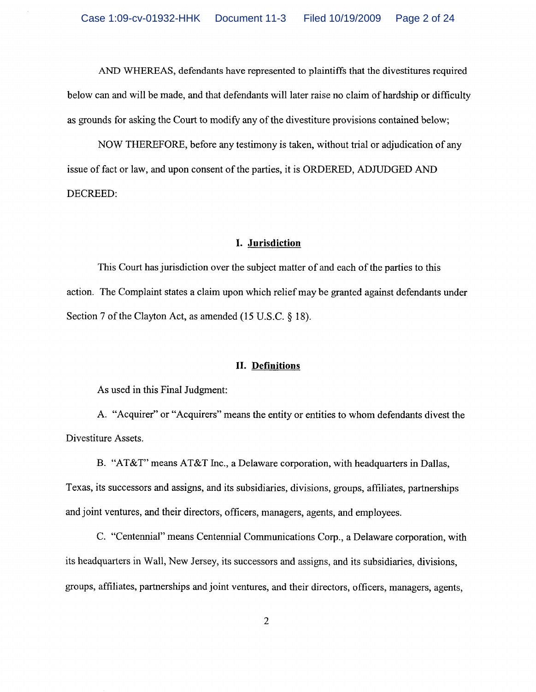AND WHEREAS, defendants have represented to plaintiffs that the divestitures required below can and will be made, and that defendants will later raise no claim of hardship or difficulty as grounds for asking the Court to modify any of the divestiture provisions contained below;

NOW THEREFORE, before any testimony is taken, without trial or adjudication of any issue of fact or law, and upon consent of the parties, it is ORDERED, ADJUDGED AND DECREED:

#### I. Jurisdiction

This Court has jurisdiction over the subject matter of and each of the parties to this action. The Complaint states a claim upon which relief may be granted against defendants under Section 7 of the Clayton Act, as amended (15 U.S.C. § 18).

#### II. Definitions

As used in this Final Judgment:

A. "Acquirer" or "Acquirers" means the entity or entities to whom defendants divest the Divestiture Assets.

B. "AT&T" means AT&T Inc., a Delaware corporation, with headquarters in Dallas, Texas, its successors and assigns, and its subsidiaries, divisions, groups, affiliates, partnerships and joint ventures, and their directors, officers, managers, agents, and employees.

C. "Centennial" means Centennial Communications Corp., a Delaware corporation, with its headquarters in Wall, New Jersey, its successors and assigns, and its subsidiaries, divisions, groups, affiliates, partnerships and joint ventures, and their directors, officers, managers, agents,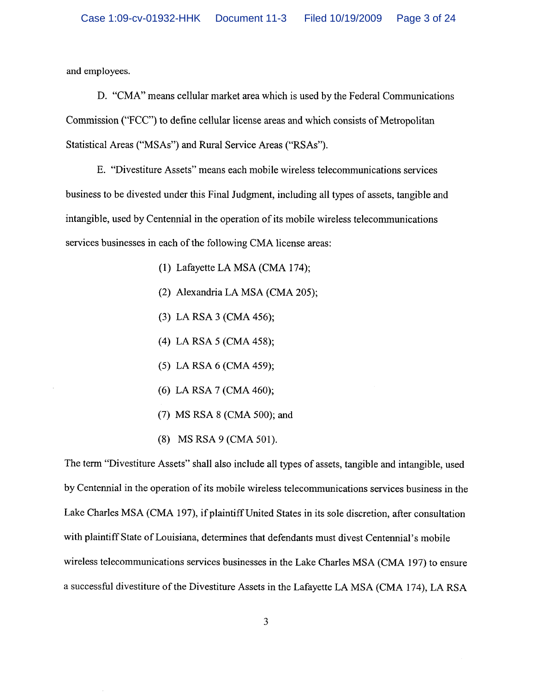and employees.

D. "CMA" means cellular market area which is used by the Federal Communications Commission ("FCC") to define cellular license areas and which consists of Metropolitan Statistical Areas ("MSAs") and Rural Service Areas ("RSAs").

E. "Divestiture Assets" means each mobile wireless telecommunications services business to be divested under this Final Judgment, including all types of assets, tangible and intangible, used by Centennial in the operation of its mobile wireless telecommunications services businesses in each of the following CMA license areas:

- (1) Lafayette LA MSA (CMA 174);
- (2) Alexandria LA MSA (CMA 205);
- $(3)$  LA RSA 3 (CMA 456);
- (4) LA RSA 5 (CMA 458);
- (5) LA RSA 6 (CMA 459);
- (6) LA RSA 7 (CMA 460);
- (7) MS RSA 8 (CMA 500); and
- (8) MS RSA 9 (CMA 501).

The term "Divestiture Assets" shall also include all types of assets, tangible and intangible, used by Centennial in the operation of its mobile wireless telecommunications services business in the Lake Charles MSA (CMA 197), if plaintiff United States in its sole discretion, after consultation with plaintiff State of Louisiana, determines that defendants must divest Centennial's mobile wireless telecommunications services businesses in the Lake Charles MSA (CMA 197) to ensure a successful divestiture of the Divestiture Assets in the Lafayette LA MSA (CMA 174), LA RSA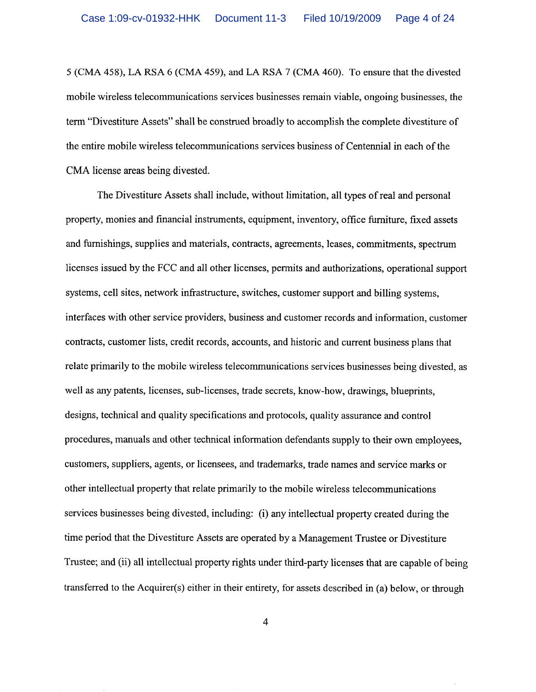5 (CMA 458), LA RSA 6 (CMA 459), and LA RSA 7 (CMA 460). To ensure that the divested mobile wireless telecommunications services businesses remain viable, ongoing businesses, the term "Divestiture Assets" shall be construed broadly to accomplish the complete divestiture of the entire mobile wireless telecommunications services business of Centennial in each of the CMA license areas being divested.

The Divestiture Assets shall include, without limitation, all types of real and personal property, monies and financial instruments, equipment, inventory, office furniture, fixed assets and furnishings, supplies and materials, contracts, agreements, leases, commitments, spectrum licenses issued by the FCC and all other licenses, permits and authorizations, operational support systems, cell sites, network infrastructure, switches, customer support and billing systems. interfaces with other service providers, business and customer records and information, customer contracts, customer lists, credit records, accounts, and historic and current business plans that relate primarily to the mobile wireless telecommunications services businesses being divested, as well as any patents, licenses, sub-licenses, trade secrets, know-how, drawings, blueprints, designs, technical and quality specifications and protocols, quality assurance and control procedures, manuals and other technical information defendants supply to their own employees, customers, suppliers, agents, or licensees, and trademarks, trade names and service marks or other intellectual property that relate primarily to the mobile wireless telecommunications services businesses being divested, including: (i) any intellectual property created during the time period that the Divestiture Assets are operated by a Management Trustee or Divestiture Trustee; and (ii) all intellectual property rights under third-party licenses that are capable of being transferred to the Acquirer(s) either in their entirety, for assets described in (a) below, or through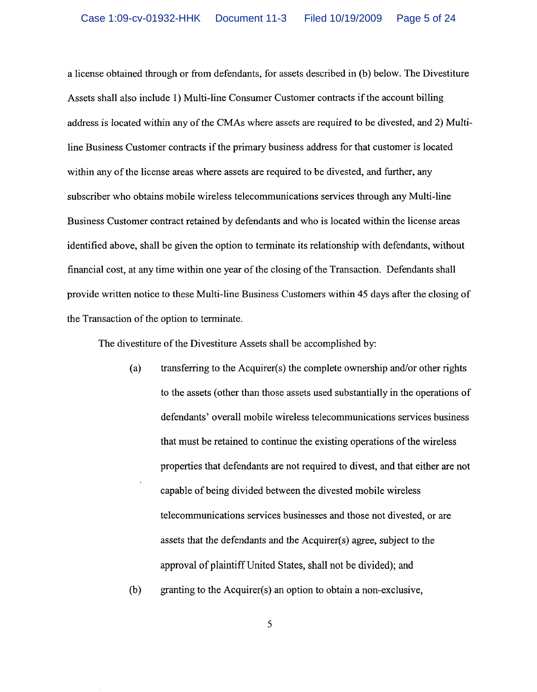a license obtained through or from defendants, for assets described in (b) below. The Divestiture Assets shall also include 1) Multi-line Consumer Customer contracts if the account billing address is located within any of the CMAs where assets are required to be divested, and 2) Multiline Business Customer contracts if the primary business address for that customer is located within any of the license areas where assets are required to be divested, and further, any subscriber who obtains mobile wireless telecommunications services through any Multi-line Business Customer contract retained by defendants and who is located within the license areas identified above, shall be given the option to terminate its relationship with defendants, without financial cost, at any time within one year of the closing of the Transaction. Defendants shall provide written notice to these Multi-line Business Customers within 45 days after the closing of the Transaction of the option to terminate.

The divestiture of the Divestiture Assets shall be accomplished by:

- transferring to the Acquirer(s) the complete ownership and/or other rights  $(a)$ to the assets (other than those assets used substantially in the operations of defendants' overall mobile wireless telecommunications services business that must be retained to continue the existing operations of the wireless properties that defendants are not required to divest, and that either are not capable of being divided between the divested mobile wireless telecommunications services businesses and those not divested, or are assets that the defendants and the Acquirer(s) agree, subject to the approval of plaintiff United States, shall not be divided); and
- granting to the Acquirer(s) an option to obtain a non-exclusive.  $(b)$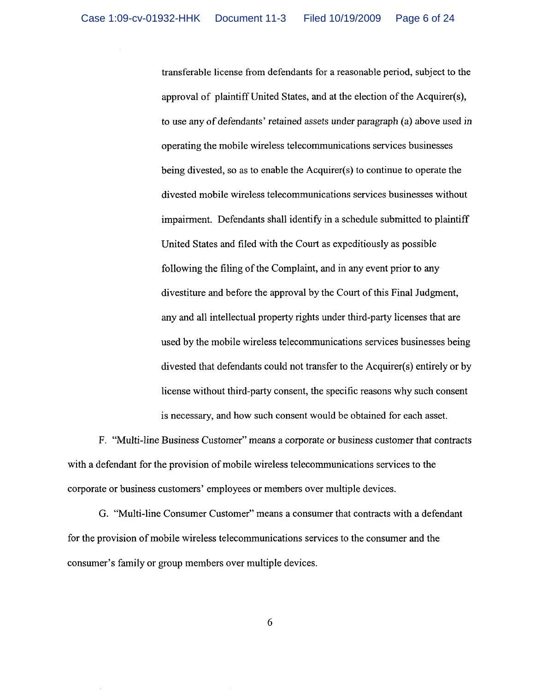transferable license from defendants for a reasonable period, subject to the approval of plaintiff United States, and at the election of the Acquirer(s), to use any of defendants' retained assets under paragraph (a) above used in operating the mobile wireless telecommunications services businesses being divested, so as to enable the Acquirer(s) to continue to operate the divested mobile wireless telecommunications services businesses without impairment. Defendants shall identify in a schedule submitted to plaintiff United States and filed with the Court as expeditiously as possible following the filing of the Complaint, and in any event prior to any divestiture and before the approval by the Court of this Final Judgment, any and all intellectual property rights under third-party licenses that are used by the mobile wireless telecommunications services businesses being divested that defendants could not transfer to the Acquirer(s) entirely or by license without third-party consent, the specific reasons why such consent is necessary, and how such consent would be obtained for each asset.

F. "Multi-line Business Customer" means a corporate or business customer that contracts with a defendant for the provision of mobile wireless telecommunications services to the corporate or business customers' employees or members over multiple devices.

G. "Multi-line Consumer Customer" means a consumer that contracts with a defendant for the provision of mobile wireless telecommunications services to the consumer and the consumer's family or group members over multiple devices.

6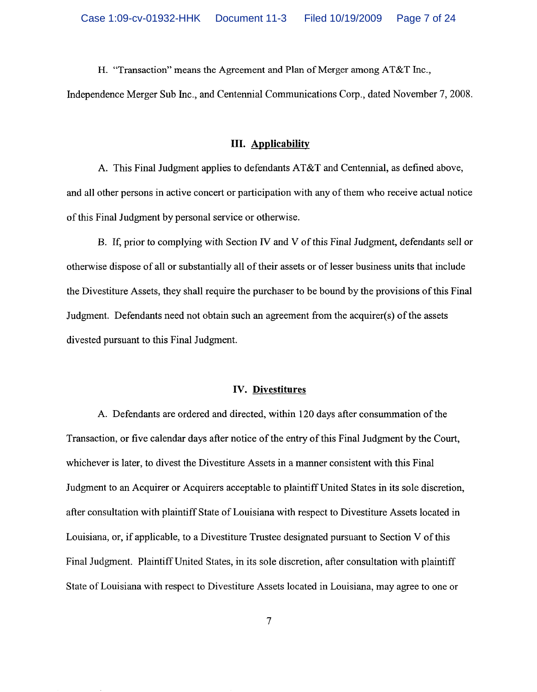H. "Transaction" means the Agreement and Plan of Merger among AT&T Inc..

Independence Merger Sub Inc., and Centennial Communications Corp., dated November 7, 2008.

### **III.** Applicability

A. This Final Judgment applies to defendants AT&T and Centennial, as defined above, and all other persons in active concert or participation with any of them who receive actual notice of this Final Judgment by personal service or otherwise.

B. If, prior to complying with Section IV and V of this Final Judgment, defendants sell or otherwise dispose of all or substantially all of their assets or of lesser business units that include the Divestiture Assets, they shall require the purchaser to be bound by the provisions of this Final Judgment. Defendants need not obtain such an agreement from the acquirer(s) of the assets divested pursuant to this Final Judgment.

## **IV.** Divestitures

A. Defendants are ordered and directed, within 120 days after consummation of the Transaction, or five calendar days after notice of the entry of this Final Judgment by the Court. whichever is later, to divest the Divestiture Assets in a manner consistent with this Final Judgment to an Acquirer or Acquirers acceptable to plaintiff United States in its sole discretion, after consultation with plaintiff State of Louisiana with respect to Divestiture Assets located in Louisiana, or, if applicable, to a Divestiture Trustee designated pursuant to Section V of this Final Judgment. Plaintiff United States, in its sole discretion, after consultation with plaintiff State of Louisiana with respect to Divestiture Assets located in Louisiana, may agree to one or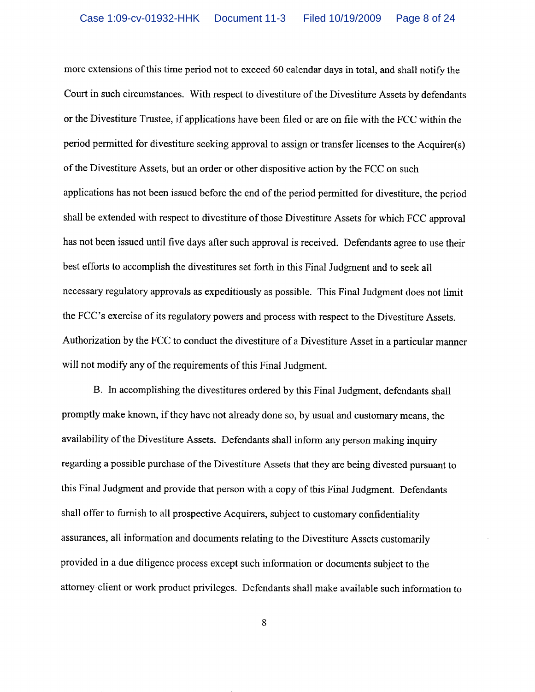more extensions of this time period not to exceed 60 calendar days in total, and shall notify the Court in such circumstances. With respect to divestiture of the Divestiture Assets by defendants or the Divestiture Trustee, if applications have been filed or are on file with the FCC within the period permitted for divestiture seeking approval to assign or transfer licenses to the Acquirer(s) of the Divestiture Assets, but an order or other dispositive action by the FCC on such applications has not been issued before the end of the period permitted for divestiture, the period shall be extended with respect to divestiture of those Divestiture Assets for which FCC approval has not been issued until five days after such approval is received. Defendants agree to use their best efforts to accomplish the divestitures set forth in this Final Judgment and to seek all necessary regulatory approvals as expeditiously as possible. This Final Judgment does not limit the FCC's exercise of its regulatory powers and process with respect to the Divestiture Assets. Authorization by the FCC to conduct the divestiture of a Divestiture Asset in a particular manner will not modify any of the requirements of this Final Judgment.

B. In accomplishing the divestitures ordered by this Final Judgment, defendants shall promptly make known, if they have not already done so, by usual and customary means, the availability of the Divestiture Assets. Defendants shall inform any person making inquiry regarding a possible purchase of the Divestiture Assets that they are being divested pursuant to this Final Judgment and provide that person with a copy of this Final Judgment. Defendants shall offer to furnish to all prospective Acquirers, subject to customary confidentiality assurances, all information and documents relating to the Divestiture Assets customarily provided in a due diligence process except such information or documents subject to the attorney-client or work product privileges. Defendants shall make available such information to

8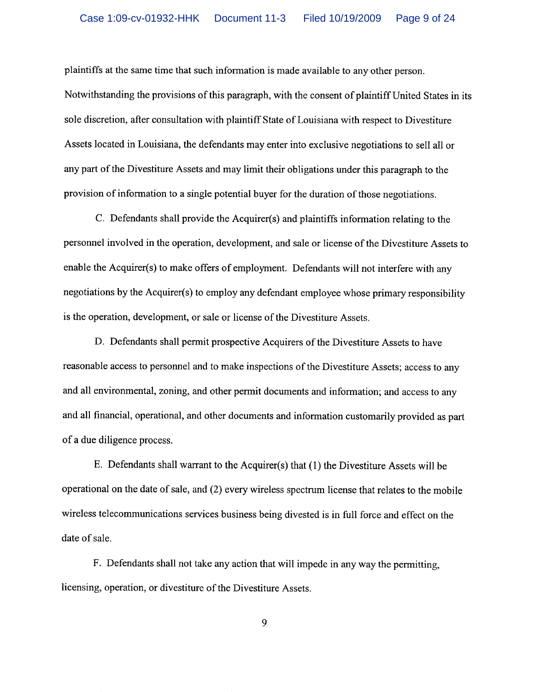plaintiffs at the same time that such information is made available to any other person.

Notwithstanding the provisions of this paragraph, with the consent of plaintiff United States in its sole discretion, after consultation with plaintiff State of Louisiana with respect to Divestiture Assets located in Louisiana, the defendants may enter into exclusive negotiations to sell all or any part of the Divestiture Assets and may limit their obligations under this paragraph to the provision of information to a single potential buyer for the duration of those negotiations.

C. Defendants shall provide the Acquirer(s) and plaintiffs information relating to the personnel involved in the operation, development, and sale or license of the Divestiture Assets to enable the Acquirer(s) to make offers of employment. Defendants will not interfere with any negotiations by the Acquirer(s) to employ any defendant employee whose primary responsibility is the operation, development, or sale or license of the Divestiture Assets.

D. Defendants shall permit prospective Acquirers of the Divestiture Assets to have reasonable access to personnel and to make inspections of the Divestiture Assets; access to any and all environmental, zoning, and other permit documents and information; and access to any and all financial, operational, and other documents and information customarily provided as part of a due diligence process.

E. Defendants shall warrant to the Acquirer(s) that (1) the Divestiture Assets will be operational on the date of sale, and (2) every wireless spectrum license that relates to the mobile wireless telecommunications services business being divested is in full force and effect on the date of sale.

F. Defendants shall not take any action that will impede in any way the permitting, licensing, operation, or divestiture of the Divestiture Assets.

9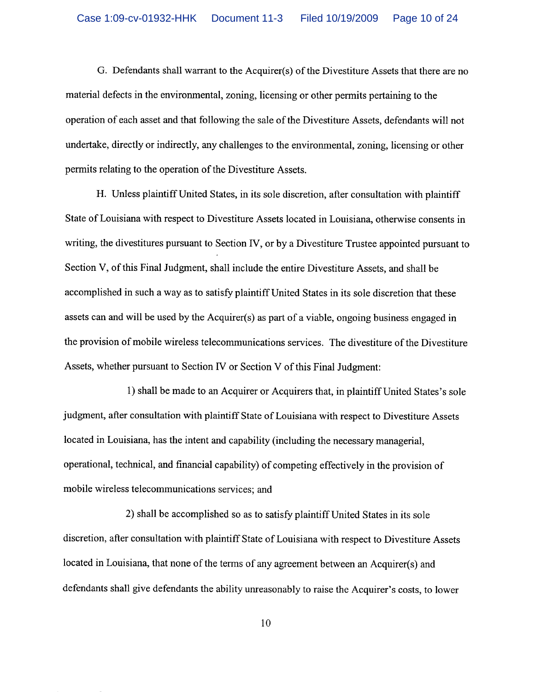G. Defendants shall warrant to the Acquirer(s) of the Divestiture Assets that there are no material defects in the environmental, zoning, licensing or other permits pertaining to the operation of each asset and that following the sale of the Divestiture Assets, defendants will not undertake, directly or indirectly, any challenges to the environmental, zoning, licensing or other permits relating to the operation of the Divestiture Assets.

H. Unless plaintiff United States, in its sole discretion, after consultation with plaintiff State of Louisiana with respect to Divestiture Assets located in Louisiana, otherwise consents in writing, the divestitures pursuant to Section IV, or by a Divestiture Trustee appointed pursuant to Section V, of this Final Judgment, shall include the entire Divestiture Assets, and shall be accomplished in such a way as to satisfy plaintiff United States in its sole discretion that these assets can and will be used by the Acquirer(s) as part of a viable, ongoing business engaged in the provision of mobile wireless telecommunications services. The divestiture of the Divestiture Assets, whether pursuant to Section IV or Section V of this Final Judgment:

1) shall be made to an Acquirer or Acquirers that, in plaintiff United States's sole judgment, after consultation with plaintiff State of Louisiana with respect to Divestiture Assets located in Louisiana, has the intent and capability (including the necessary managerial, operational, technical, and financial capability) of competing effectively in the provision of mobile wireless telecommunications services; and

2) shall be accomplished so as to satisfy plaintiff United States in its sole discretion, after consultation with plaintiff State of Louisiana with respect to Divestiture Assets located in Louisiana, that none of the terms of any agreement between an Acquirer(s) and defendants shall give defendants the ability unreasonably to raise the Acquirer's costs, to lower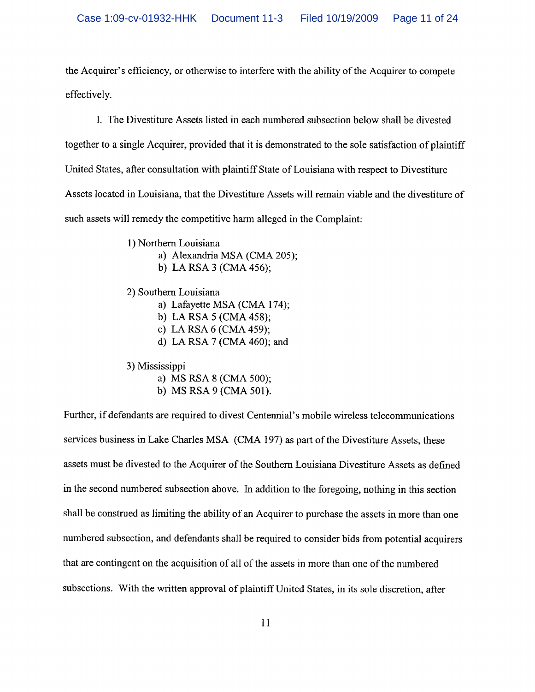the Acquirer's efficiency, or otherwise to interfere with the ability of the Acquirer to compete effectively.

I. The Divestiture Assets listed in each numbered subsection below shall be divested together to a single Acquirer, provided that it is demonstrated to the sole satisfaction of plaintiff United States, after consultation with plaintiff State of Louisiana with respect to Divestiture Assets located in Louisiana, that the Divestiture Assets will remain viable and the divestiture of such assets will remedy the competitive harm alleged in the Complaint:

> 1) Northern Louisiana a) Alexandria MSA (CMA 205); b) LA RSA 3 (CMA 456);

2) Southern Louisiana

a) Lafayette MSA (CMA 174);

- b) LA RSA  $5$  (CMA 458);
- c) LA RSA  $6$  (CMA 459);
- d) LA RSA 7 (CMA 460); and

3) Mississippi

- a) MS RSA 8 (CMA 500);
- b) MS RSA 9 (CMA 501).

Further, if defendants are required to divest Centennial's mobile wireless telecommunications services business in Lake Charles MSA (CMA 197) as part of the Divestiture Assets, these assets must be divested to the Acquirer of the Southern Louisiana Divestiture Assets as defined in the second numbered subsection above. In addition to the foregoing, nothing in this section shall be construed as limiting the ability of an Acquirer to purchase the assets in more than one numbered subsection, and defendants shall be required to consider bids from potential acquirers that are contingent on the acquisition of all of the assets in more than one of the numbered subsections. With the written approval of plaintiff United States, in its sole discretion, after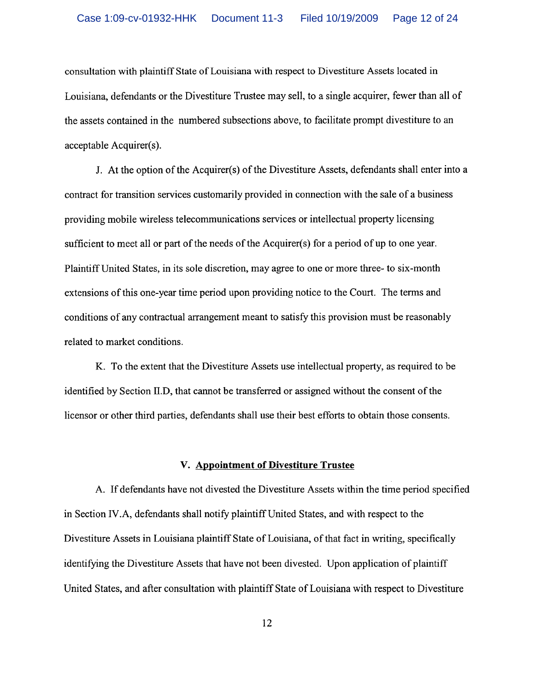consultation with plaintiff State of Louisiana with respect to Divestiture Assets located in Louisiana, defendants or the Divestiture Trustee may sell, to a single acquirer, fewer than all of the assets contained in the numbered subsections above, to facilitate prompt divestiture to an acceptable Acquirer(s).

J. At the option of the Acquirer(s) of the Divestiture Assets, defendants shall enter into a contract for transition services customarily provided in connection with the sale of a business providing mobile wireless telecommunications services or intellectual property licensing sufficient to meet all or part of the needs of the Acquirer(s) for a period of up to one year. Plaintiff United States, in its sole discretion, may agree to one or more three- to six-month extensions of this one-year time period upon providing notice to the Court. The terms and conditions of any contractual arrangement meant to satisfy this provision must be reasonably related to market conditions.

K. To the extent that the Divestiture Assets use intellectual property, as required to be identified by Section II.D, that cannot be transferred or assigned without the consent of the licensor or other third parties, defendants shall use their best efforts to obtain those consents.

#### V. Appointment of Divestiture Trustee

A. If defendants have not divested the Divestiture Assets within the time period specified in Section IV.A, defendants shall notify plaintiff United States, and with respect to the Divestiture Assets in Louisiana plaintiff State of Louisiana, of that fact in writing, specifically identifying the Divestiture Assets that have not been divested. Upon application of plaintiff United States, and after consultation with plaintiff State of Louisiana with respect to Divestiture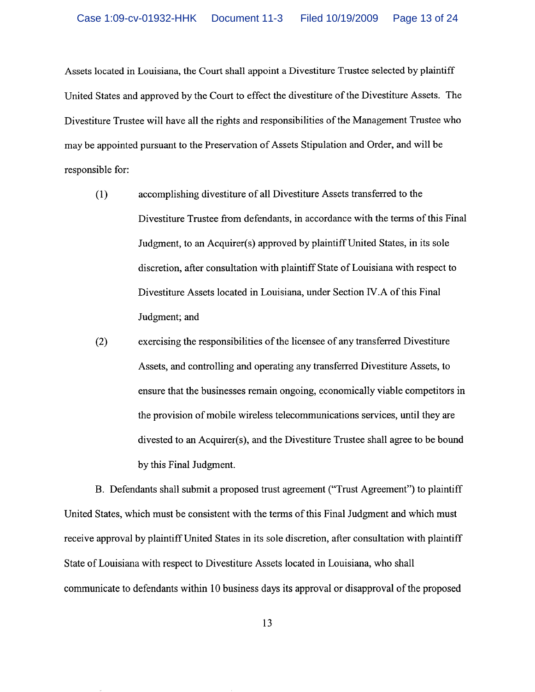Assets located in Louisiana, the Court shall appoint a Divestiture Trustee selected by plaintiff United States and approved by the Court to effect the divestiture of the Divestiture Assets. The Divestiture Trustee will have all the rights and responsibilities of the Management Trustee who may be appointed pursuant to the Preservation of Assets Stipulation and Order, and will be responsible for:

- $(1)$ accomplishing divestiture of all Divestiture Assets transferred to the Divestiture Trustee from defendants, in accordance with the terms of this Final Judgment, to an Acquirer(s) approved by plaintiff United States, in its sole discretion, after consultation with plaintiff State of Louisiana with respect to Divestiture Assets located in Louisiana, under Section IV.A of this Final Judgment; and
- $(2)$ exercising the responsibilities of the licensee of any transferred Divestiture Assets, and controlling and operating any transferred Divestiture Assets, to ensure that the businesses remain ongoing, economically viable competitors in the provision of mobile wireless telecommunications services, until they are divested to an Acquirer(s), and the Divestiture Trustee shall agree to be bound by this Final Judgment.

B. Defendants shall submit a proposed trust agreement ("Trust Agreement") to plaintiff United States, which must be consistent with the terms of this Final Judgment and which must receive approval by plaintiff United States in its sole discretion, after consultation with plaintiff State of Louisiana with respect to Divestiture Assets located in Louisiana, who shall communicate to defendants within 10 business days its approval or disapproval of the proposed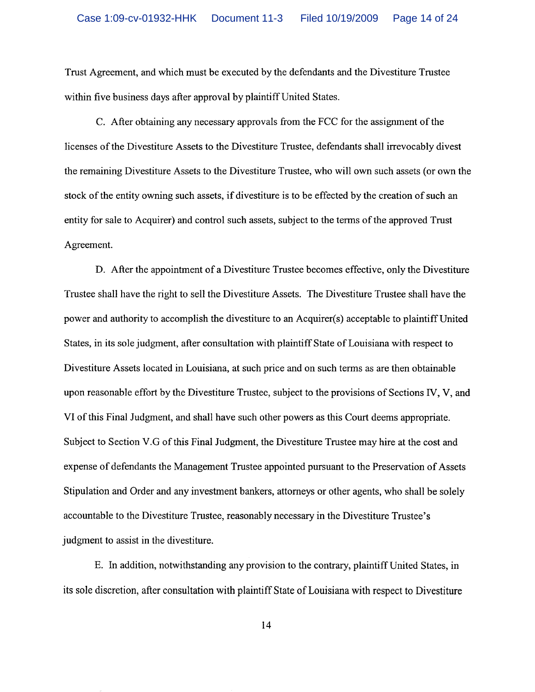Trust Agreement, and which must be executed by the defendants and the Divestiture Trustee within five business days after approval by plaintiff United States.

C. After obtaining any necessary approvals from the FCC for the assignment of the licenses of the Divestiture Assets to the Divestiture Trustee, defendants shall irrevocably divest the remaining Divestiture Assets to the Divestiture Trustee, who will own such assets (or own the stock of the entity owning such assets, if divestiture is to be effected by the creation of such an entity for sale to Acquirer) and control such assets, subject to the terms of the approved Trust Agreement.

D. After the appointment of a Divestiture Trustee becomes effective, only the Divestiture Trustee shall have the right to sell the Divestiture Assets. The Divestiture Trustee shall have the power and authority to accomplish the divestiture to an Acquirer(s) acceptable to plaintiff United States, in its sole judgment, after consultation with plaintiff State of Louisiana with respect to Divestiture Assets located in Louisiana, at such price and on such terms as are then obtainable upon reasonable effort by the Divestiture Trustee, subject to the provisions of Sections IV, V, and VI of this Final Judgment, and shall have such other powers as this Court deems appropriate. Subject to Section V.G of this Final Judgment, the Divestiture Trustee may hire at the cost and expense of defendants the Management Trustee appointed pursuant to the Preservation of Assets Stipulation and Order and any investment bankers, attorneys or other agents, who shall be solely accountable to the Divestiture Trustee, reasonably necessary in the Divestiture Trustee's judgment to assist in the divestiture.

E. In addition, notwithstanding any provision to the contrary, plaintiff United States, in its sole discretion, after consultation with plaintiff State of Louisiana with respect to Divestiture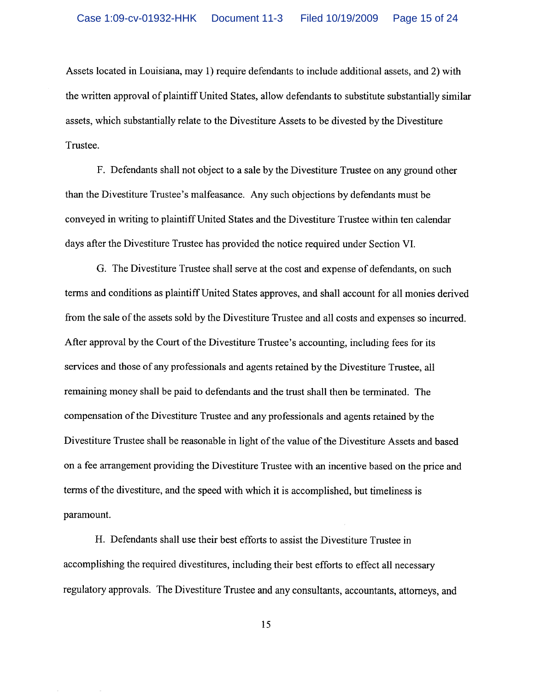Assets located in Louisiana, may 1) require defendants to include additional assets, and 2) with the written approval of plaintiff United States, allow defendants to substitute substantially similar assets, which substantially relate to the Divestiture Assets to be divested by the Divestiture Trustee.

F. Defendants shall not object to a sale by the Divestiture Trustee on any ground other than the Divestiture Trustee's malfeasance. Any such objections by defendants must be conveyed in writing to plaintiff United States and the Divestiture Trustee within ten calendar days after the Divestiture Trustee has provided the notice required under Section VI.

G. The Divestiture Trustee shall serve at the cost and expense of defendants, on such terms and conditions as plaintiff United States approves, and shall account for all monies derived from the sale of the assets sold by the Divestiture Trustee and all costs and expenses so incurred. After approval by the Court of the Divestiture Trustee's accounting, including fees for its services and those of any professionals and agents retained by the Divestiture Trustee, all remaining money shall be paid to defendants and the trust shall then be terminated. The compensation of the Divestiture Trustee and any professionals and agents retained by the Divestiture Trustee shall be reasonable in light of the value of the Divestiture Assets and based on a fee arrangement providing the Divestiture Trustee with an incentive based on the price and terms of the divestiture, and the speed with which it is accomplished, but timeliness is paramount.

H. Defendants shall use their best efforts to assist the Divestiture Trustee in accomplishing the required divestitures, including their best efforts to effect all necessary regulatory approvals. The Divestiture Trustee and any consultants, accountants, attorneys, and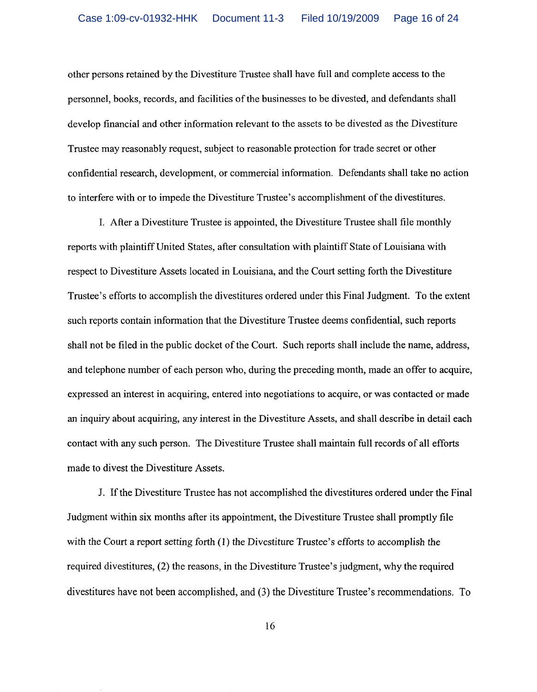other persons retained by the Divestiture Trustee shall have full and complete access to the personnel, books, records, and facilities of the businesses to be divested, and defendants shall develop financial and other information relevant to the assets to be divested as the Divestiture Trustee may reasonably request, subject to reasonable protection for trade secret or other confidential research, development, or commercial information. Defendants shall take no action to interfere with or to impede the Divestiture Trustee's accomplishment of the divestitures.

I. After a Divestiture Trustee is appointed, the Divestiture Trustee shall file monthly reports with plaintiff United States, after consultation with plaintiff State of Louisiana with respect to Divestiture Assets located in Louisiana, and the Court setting forth the Divestiture Trustee's efforts to accomplish the divestitures ordered under this Final Judgment. To the extent such reports contain information that the Divestiture Trustee deems confidential, such reports shall not be filed in the public docket of the Court. Such reports shall include the name, address, and telephone number of each person who, during the preceding month, made an offer to acquire. expressed an interest in acquiring, entered into negotiations to acquire, or was contacted or made an inquiry about acquiring, any interest in the Divestiture Assets, and shall describe in detail each contact with any such person. The Divestiture Trustee shall maintain full records of all efforts made to divest the Divestiture Assets.

J. If the Divestiture Trustee has not accomplished the divestitures ordered under the Final Judgment within six months after its appointment, the Divestiture Trustee shall promptly file with the Court a report setting forth  $(1)$  the Divestiture Trustee's efforts to accomplish the required divestitures, (2) the reasons, in the Divestiture Trustee's judgment, why the required divestitures have not been accomplished, and (3) the Divestiture Trustee's recommendations. To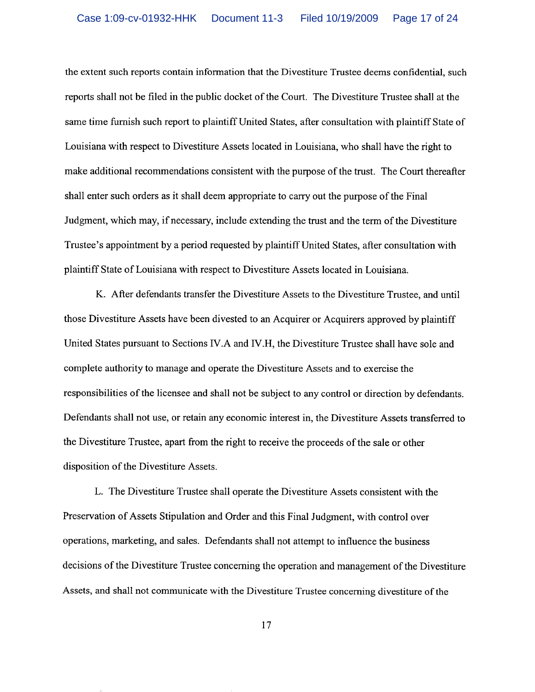the extent such reports contain information that the Divestiture Trustee deems confidential, such reports shall not be filed in the public docket of the Court. The Divestiture Trustee shall at the same time furnish such report to plaintiff United States, after consultation with plaintiff State of Louisiana with respect to Divestiture Assets located in Louisiana, who shall have the right to make additional recommendations consistent with the purpose of the trust. The Court thereafter shall enter such orders as it shall deem appropriate to carry out the purpose of the Final Judgment, which may, if necessary, include extending the trust and the term of the Divestiture Trustee's appointment by a period requested by plaintiff United States, after consultation with plaintiff State of Louisiana with respect to Divestiture Assets located in Louisiana.

K. After defendants transfer the Divestiture Assets to the Divestiture Trustee, and until those Divestiture Assets have been divested to an Acquirer or Acquirers approved by plaintiff United States pursuant to Sections IV.A and IV.H, the Divestiture Trustee shall have sole and complete authority to manage and operate the Divestiture Assets and to exercise the responsibilities of the licensee and shall not be subject to any control or direction by defendants. Defendants shall not use, or retain any economic interest in, the Divestiture Assets transferred to the Divestiture Trustee, apart from the right to receive the proceeds of the sale or other disposition of the Divestiture Assets.

L. The Divestiture Trustee shall operate the Divestiture Assets consistent with the Preservation of Assets Stipulation and Order and this Final Judgment, with control over operations, marketing, and sales. Defendants shall not attempt to influence the business decisions of the Divestiture Trustee concerning the operation and management of the Divestiture Assets, and shall not communicate with the Divestiture Trustee concerning divestiture of the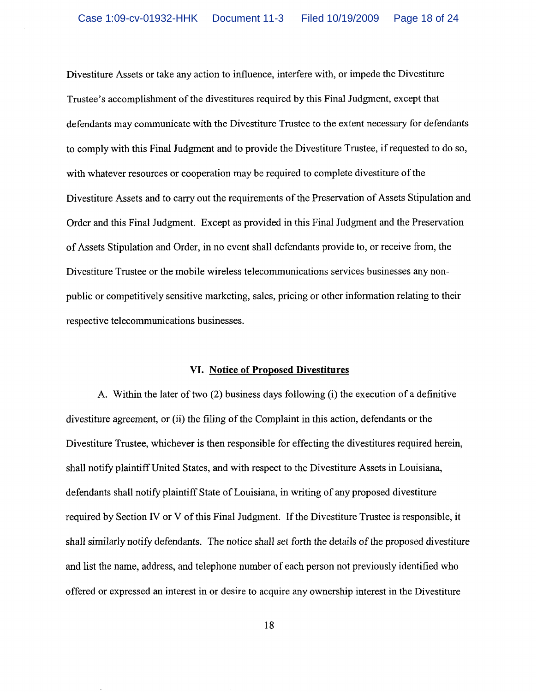Divestiture Assets or take any action to influence, interfere with, or impede the Divestiture Trustee's accomplishment of the divestitures required by this Final Judgment, except that defendants may communicate with the Divestiture Trustee to the extent necessary for defendants to comply with this Final Judgment and to provide the Divestiture Trustee, if requested to do so, with whatever resources or cooperation may be required to complete divestiture of the Divestiture Assets and to carry out the requirements of the Preservation of Assets Stipulation and Order and this Final Judgment. Except as provided in this Final Judgment and the Preservation of Assets Stipulation and Order, in no event shall defendants provide to, or receive from, the Divestiture Trustee or the mobile wireless telecommunications services businesses any nonpublic or competitively sensitive marketing, sales, pricing or other information relating to their respective telecommunications businesses.

#### VI. Notice of Proposed Divestitures

A. Within the later of two (2) business days following (i) the execution of a definitive divestiture agreement, or (ii) the filing of the Complaint in this action, defendants or the Divestiture Trustee, whichever is then responsible for effecting the divestitures required herein, shall notify plaintiff United States, and with respect to the Divestiture Assets in Louisiana. defendants shall notify plaintiff State of Louisiana, in writing of any proposed divestiture required by Section IV or V of this Final Judgment. If the Divestiture Trustee is responsible, it shall similarly notify defendants. The notice shall set forth the details of the proposed divestiture and list the name, address, and telephone number of each person not previously identified who offered or expressed an interest in or desire to acquire any ownership interest in the Divestiture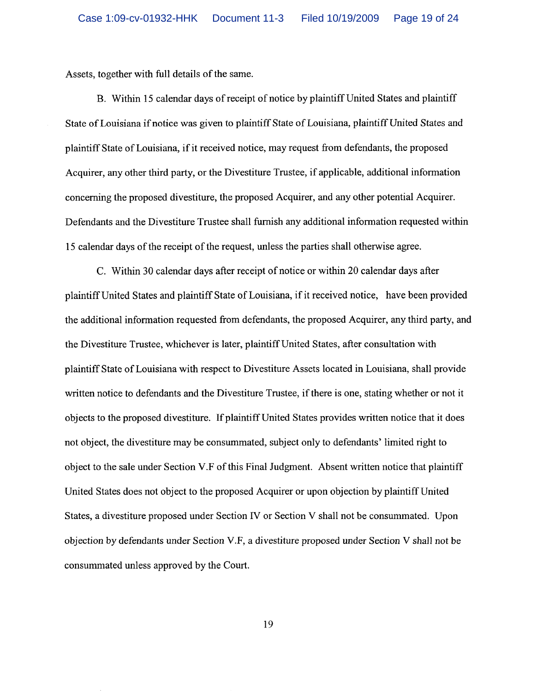Assets, together with full details of the same.

B. Within 15 calendar days of receipt of notice by plaintiff United States and plaintiff State of Louisiana if notice was given to plaintiff State of Louisiana, plaintiff United States and plaintiff State of Louisiana, if it received notice, may request from defendants, the proposed Acquirer, any other third party, or the Divestiture Trustee, if applicable, additional information concerning the proposed divestiture, the proposed Acquirer, and any other potential Acquirer. Defendants and the Divestiture Trustee shall furnish any additional information requested within 15 calendar days of the receipt of the request, unless the parties shall otherwise agree.

C. Within 30 calendar days after receipt of notice or within 20 calendar days after plaintiff United States and plaintiff State of Louisiana, if it received notice, have been provided the additional information requested from defendants, the proposed Acquirer, any third party, and the Divestiture Trustee, whichever is later, plaintiff United States, after consultation with plaintiff State of Louisiana with respect to Divestiture Assets located in Louisiana, shall provide written notice to defendants and the Divestiture Trustee, if there is one, stating whether or not it objects to the proposed divestiture. If plaintiff United States provides written notice that it does not object, the divestiture may be consummated, subject only to defendants' limited right to object to the sale under Section V.F of this Final Judgment. Absent written notice that plaintiff United States does not object to the proposed Acquirer or upon objection by plaintiff United States, a divestiture proposed under Section IV or Section V shall not be consummated. Upon objection by defendants under Section V.F, a divestiture proposed under Section V shall not be consummated unless approved by the Court.

19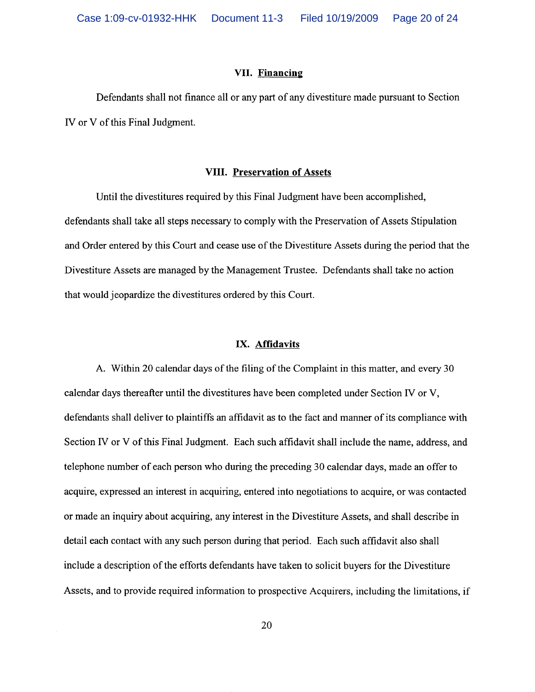#### VII. Financing

Defendants shall not finance all or any part of any divestiture made pursuant to Section IV or V of this Final Judgment.

## **VIII. Preservation of Assets**

Until the divestitures required by this Final Judgment have been accomplished, defendants shall take all steps necessary to comply with the Preservation of Assets Stipulation and Order entered by this Court and cease use of the Divestiture Assets during the period that the Divestiture Assets are managed by the Management Trustee. Defendants shall take no action that would jeopardize the divestitures ordered by this Court.

#### IX. Affidavits

A. Within 20 calendar days of the filing of the Complaint in this matter, and every 30 calendar days thereafter until the divestitures have been completed under Section IV or V, defendants shall deliver to plaintiffs an affidavit as to the fact and manner of its compliance with Section IV or V of this Final Judgment. Each such affidavit shall include the name, address, and telephone number of each person who during the preceding 30 calendar days, made an offer to acquire, expressed an interest in acquiring, entered into negotiations to acquire, or was contacted or made an inquiry about acquiring, any interest in the Divestiture Assets, and shall describe in detail each contact with any such person during that period. Each such affidavit also shall include a description of the efforts defendants have taken to solicit buyers for the Divestiture Assets, and to provide required information to prospective Acquirers, including the limitations, if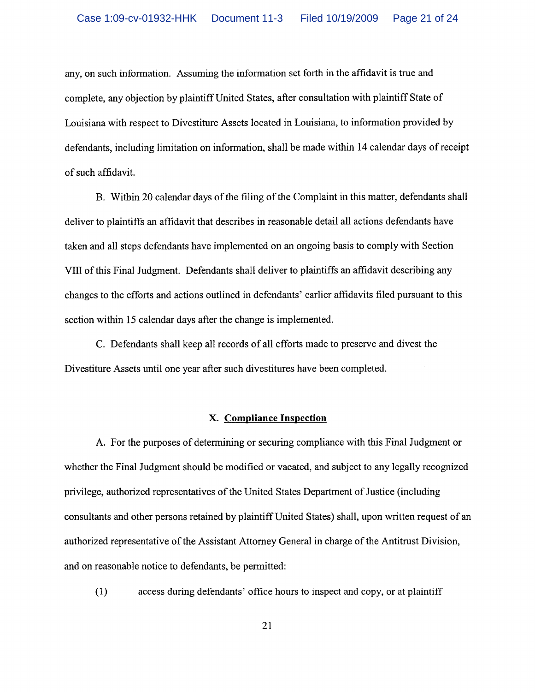any, on such information. Assuming the information set forth in the affidavit is true and complete, any objection by plaintiff United States, after consultation with plaintiff State of Louisiana with respect to Divestiture Assets located in Louisiana, to information provided by defendants, including limitation on information, shall be made within 14 calendar days of receipt of such affidavit.

B. Within 20 calendar days of the filing of the Complaint in this matter, defendants shall deliver to plaintiffs an affidavit that describes in reasonable detail all actions defendants have taken and all steps defendants have implemented on an ongoing basis to comply with Section VIII of this Final Judgment. Defendants shall deliver to plaintiffs an affidavit describing any changes to the efforts and actions outlined in defendants' earlier affidavits filed pursuant to this section within 15 calendar days after the change is implemented.

C. Defendants shall keep all records of all efforts made to preserve and divest the Divestiture Assets until one year after such divestitures have been completed.

## X. Compliance Inspection

A. For the purposes of determining or securing compliance with this Final Judgment or whether the Final Judgment should be modified or vacated, and subject to any legally recognized privilege, authorized representatives of the United States Department of Justice (including consultants and other persons retained by plaintiff United States) shall, upon written request of an authorized representative of the Assistant Attorney General in charge of the Antitrust Division, and on reasonable notice to defendants, be permitted:

access during defendants' office hours to inspect and copy, or at plaintiff  $(1)$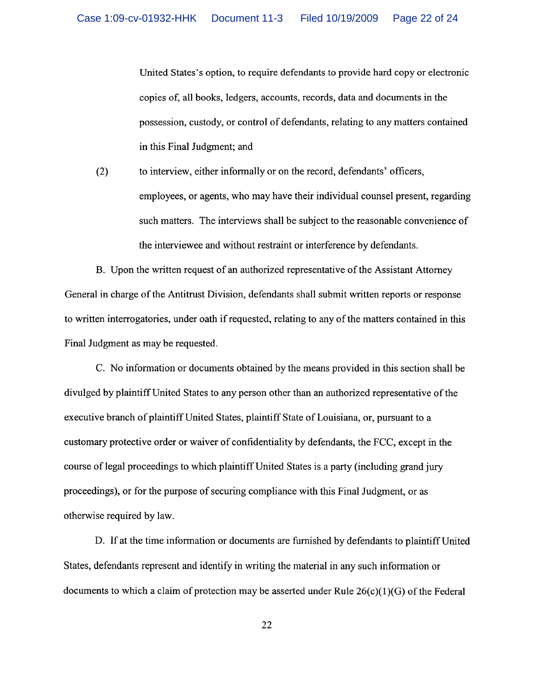United States's option, to require defendants to provide hard copy or electronic copies of, all books, ledgers, accounts, records, data and documents in the possession, custody, or control of defendants, relating to any matters contained in this Final Judgment; and

to interview, either informally or on the record, defendants' officers,  $(2)$ employees, or agents, who may have their individual counsel present, regarding such matters. The interviews shall be subject to the reasonable convenience of the interviewee and without restraint or interference by defendants.

B. Upon the written request of an authorized representative of the Assistant Attorney General in charge of the Antitrust Division, defendants shall submit written reports or response to written interrogatories, under oath if requested, relating to any of the matters contained in this Final Judgment as may be requested.

C. No information or documents obtained by the means provided in this section shall be divulged by plaintiff United States to any person other than an authorized representative of the executive branch of plaintiff United States, plaintiff State of Louisiana, or, pursuant to a customary protective order or waiver of confidentiality by defendants, the FCC, except in the course of legal proceedings to which plaintiff United States is a party (including grand jury proceedings), or for the purpose of securing compliance with this Final Judgment, or as otherwise required by law.

D. If at the time information or documents are furnished by defendants to plaintiff United States, defendants represent and identify in writing the material in any such information or documents to which a claim of protection may be asserted under Rule  $26(c)(1)(G)$  of the Federal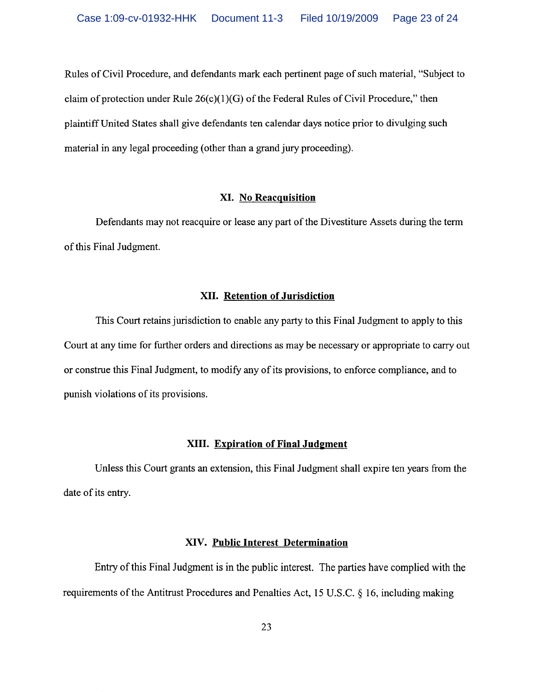Rules of Civil Procedure, and defendants mark each pertinent page of such material, "Subject to claim of protection under Rule  $26(c)(1)(G)$  of the Federal Rules of Civil Procedure," then plaintiff United States shall give defendants ten calendar days notice prior to divulging such material in any legal proceeding (other than a grand jury proceeding).

# **XI. No Reacquisition**

Defendants may not reacquire or lease any part of the Divestiture Assets during the term of this Final Judgment.

## XII. Retention of Jurisdiction

This Court retains jurisdiction to enable any party to this Final Judgment to apply to this Court at any time for further orders and directions as may be necessary or appropriate to carry out or construe this Final Judgment, to modify any of its provisions, to enforce compliance, and to punish violations of its provisions.

# XIII. Expiration of Final Judgment

Unless this Court grants an extension, this Final Judgment shall expire ten years from the date of its entry.

## XIV. Public Interest Determination

Entry of this Final Judgment is in the public interest. The parties have complied with the requirements of the Antitrust Procedures and Penalties Act, 15 U.S.C. § 16, including making